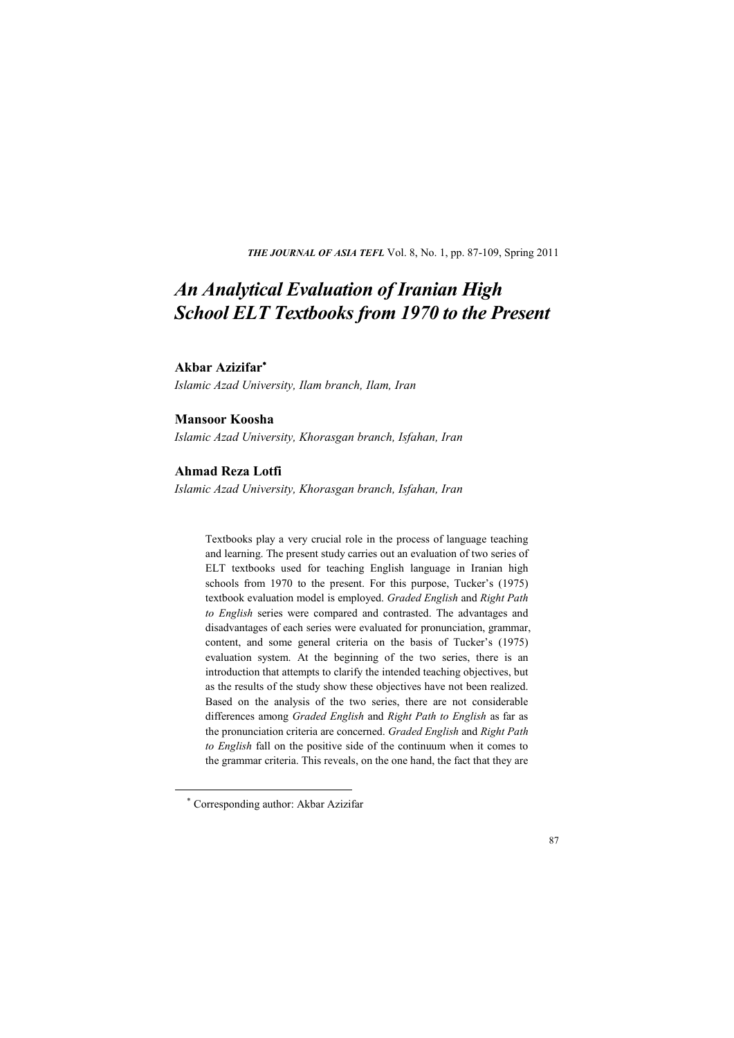**THE JOURNAL OF ASIA TEFL** Vol. 8, No. 1, pp. 87-109, Spring 2011

# *An Analytical Evaluation of Iranian High School ELT Textbooks from 1970 to the Present*

#### **Akbar Azizifar**<sup>∗</sup>

*Islamic Azad University, Ilam branch, Ilam, Iran* 

# **Mansoor Koosha**

*Islamic Azad University, Khorasgan branch, Isfahan, Iran* 

## **Ahmad Reza Lotfi**

*Islamic Azad University, Khorasgan branch, Isfahan, Iran*

Textbooks play a very crucial role in the process of language teaching and learning. The present study carries out an evaluation of two series of ELT textbooks used for teaching English language in Iranian high schools from 1970 to the present. For this purpose, Tucker's (1975) textbook evaluation model is employed. *Graded English* and *Right Path to English* series were compared and contrasted. The advantages and disadvantages of each series were evaluated for pronunciation, grammar, content, and some general criteria on the basis of Tucker's (1975) evaluation system. At the beginning of the two series, there is an introduction that attempts to clarify the intended teaching objectives, but as the results of the study show these objectives have not been realized. Based on the analysis of the two series, there are not considerable differences among *Graded English* and *Right Path to English* as far as the pronunciation criteria are concerned. *Graded English* and *Right Path to English* fall on the positive side of the continuum when it comes to the grammar criteria. This reveals, on the one hand, the fact that they are

-

<sup>∗</sup> Corresponding author: Akbar Azizifar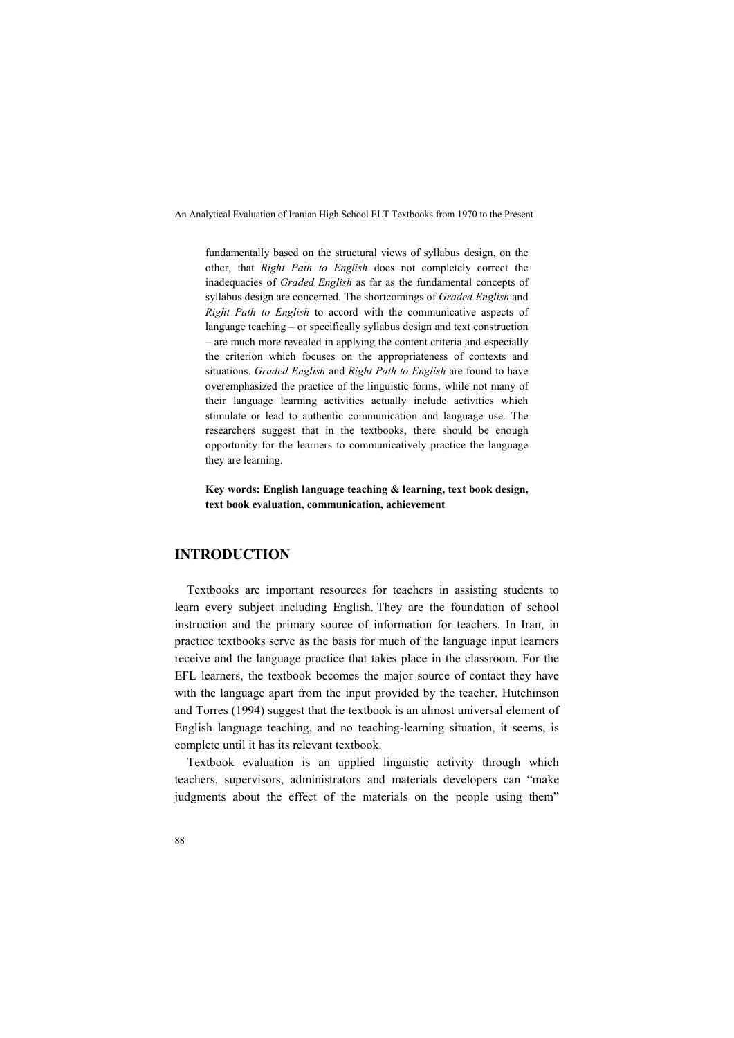fundamentally based on the structural views of syllabus design, on the other, that *Right Path to English* does not completely correct the inadequacies of *Graded English* as far as the fundamental concepts of syllabus design are concerned. The shortcomings of *Graded English* and *Right Path to English* to accord with the communicative aspects of language teaching – or specifically syllabus design and text construction – are much more revealed in applying the content criteria and especially the criterion which focuses on the appropriateness of contexts and situations. *Graded English* and *Right Path to English* are found to have overemphasized the practice of the linguistic forms, while not many of their language learning activities actually include activities which stimulate or lead to authentic communication and language use. The researchers suggest that in the textbooks, there should be enough opportunity for the learners to communicatively practice the language they are learning.

**Key words: English language teaching & learning, text book design, text book evaluation, communication, achievement** 

# **INTRODUCTION**

Textbooks are important resources for teachers in assisting students to learn every subject including English. They are the foundation of school instruction and the primary source of information for teachers. In Iran, in practice textbooks serve as the basis for much of the language input learners receive and the language practice that takes place in the classroom. For the EFL learners, the textbook becomes the major source of contact they have with the language apart from the input provided by the teacher. Hutchinson and Torres (1994) suggest that the textbook is an almost universal element of English language teaching, and no teaching-learning situation, it seems, is complete until it has its relevant textbook.

Textbook evaluation is an applied linguistic activity through which teachers, supervisors, administrators and materials developers can "make judgments about the effect of the materials on the people using them"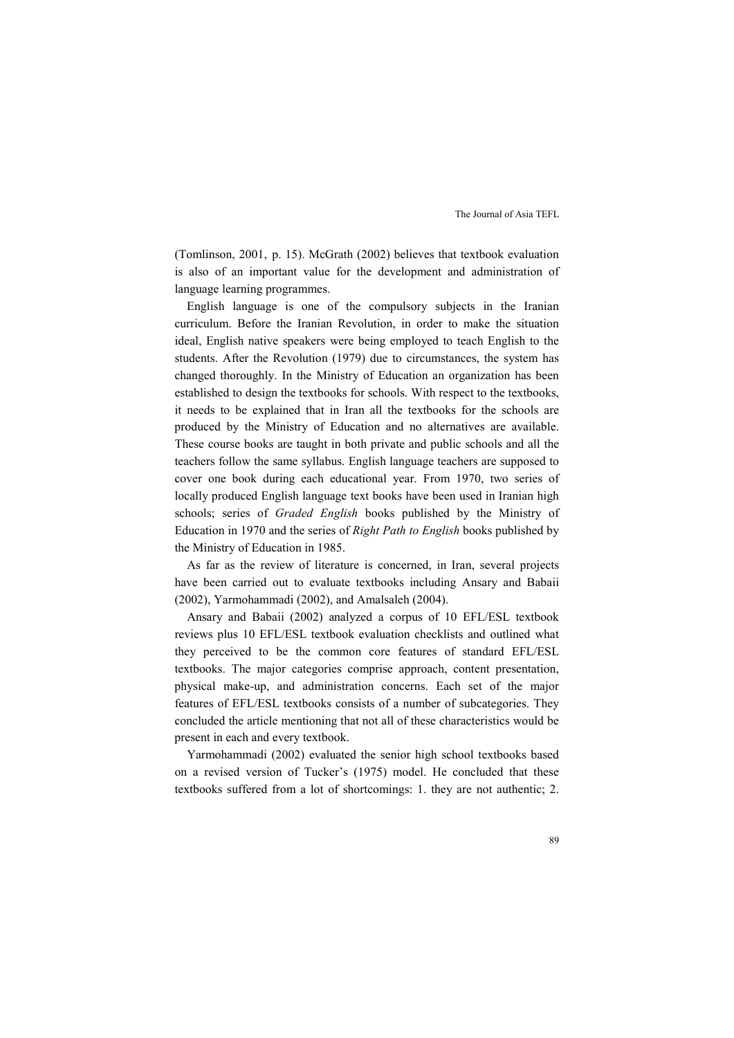(Tomlinson, 2001, p. 15). McGrath (2002) believes that textbook evaluation is also of an important value for the development and administration of language learning programmes.

English language is one of the compulsory subjects in the Iranian curriculum. Before the Iranian Revolution, in order to make the situation ideal, English native speakers were being employed to teach English to the students. After the Revolution (1979) due to circumstances, the system has changed thoroughly. In the Ministry of Education an organization has been established to design the textbooks for schools. With respect to the textbooks, it needs to be explained that in Iran all the textbooks for the schools are produced by the Ministry of Education and no alternatives are available. These course books are taught in both private and public schools and all the teachers follow the same syllabus. English language teachers are supposed to cover one book during each educational year. From 1970, two series of locally produced English language text books have been used in Iranian high schools; series of *Graded English* books published by the Ministry of Education in 1970 and the series of *Right Path to English* books published by the Ministry of Education in 1985.

As far as the review of literature is concerned, in Iran, several projects have been carried out to evaluate textbooks including Ansary and Babaii (2002), Yarmohammadi (2002), and Amalsaleh (2004).

Ansary and Babaii (2002) analyzed a corpus of 10 EFL/ESL textbook reviews plus 10 EFL/ESL textbook evaluation checklists and outlined what they perceived to be the common core features of standard EFL/ESL textbooks. The major categories comprise approach, content presentation, physical make-up, and administration concerns. Each set of the major features of EFL/ESL textbooks consists of a number of subcategories. They concluded the article mentioning that not all of these characteristics would be present in each and every textbook.

Yarmohammadi (2002) evaluated the senior high school textbooks based on a revised version of Tucker's (1975) model. He concluded that these textbooks suffered from a lot of shortcomings: 1. they are not authentic; 2.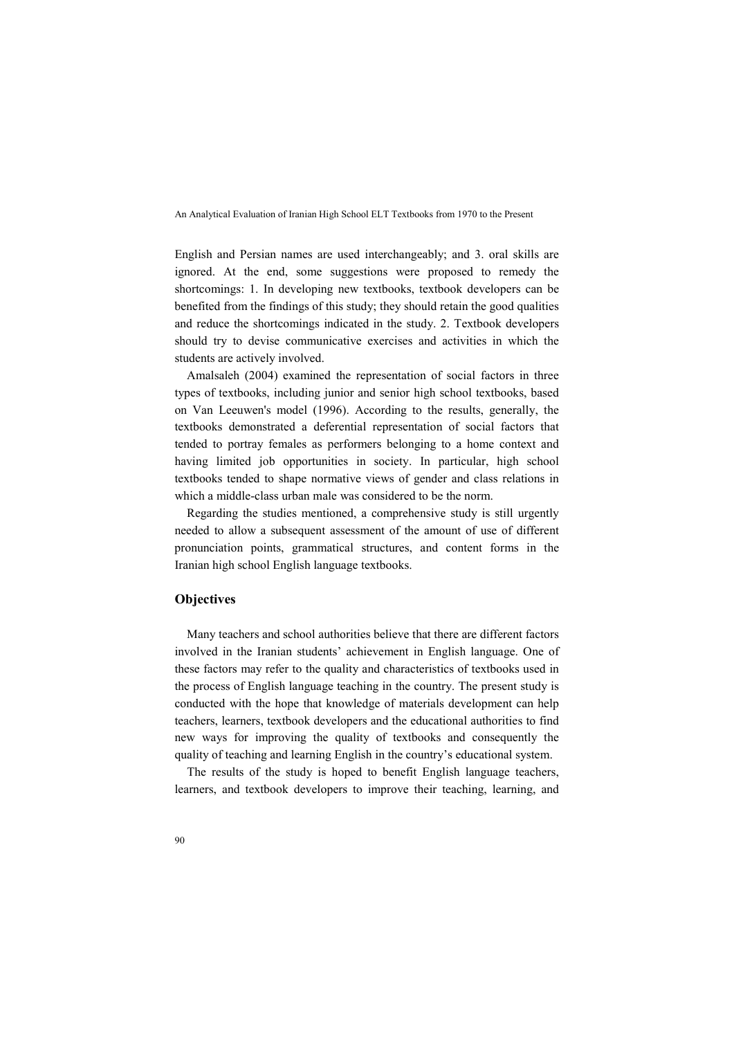English and Persian names are used interchangeably; and 3. oral skills are ignored. At the end, some suggestions were proposed to remedy the shortcomings: 1. In developing new textbooks, textbook developers can be benefited from the findings of this study; they should retain the good qualities and reduce the shortcomings indicated in the study. 2. Textbook developers should try to devise communicative exercises and activities in which the students are actively involved.

Amalsaleh (2004) examined the representation of social factors in three types of textbooks, including junior and senior high school textbooks, based on Van Leeuwen's model (1996). According to the results, generally, the textbooks demonstrated a deferential representation of social factors that tended to portray females as performers belonging to a home context and having limited job opportunities in society. In particular, high school textbooks tended to shape normative views of gender and class relations in which a middle-class urban male was considered to be the norm.

Regarding the studies mentioned, a comprehensive study is still urgently needed to allow a subsequent assessment of the amount of use of different pronunciation points, grammatical structures, and content forms in the Iranian high school English language textbooks.

# **Objectives**

Many teachers and school authorities believe that there are different factors involved in the Iranian students' achievement in English language. One of these factors may refer to the quality and characteristics of textbooks used in the process of English language teaching in the country. The present study is conducted with the hope that knowledge of materials development can help teachers, learners, textbook developers and the educational authorities to find new ways for improving the quality of textbooks and consequently the quality of teaching and learning English in the country's educational system.

The results of the study is hoped to benefit English language teachers, learners, and textbook developers to improve their teaching, learning, and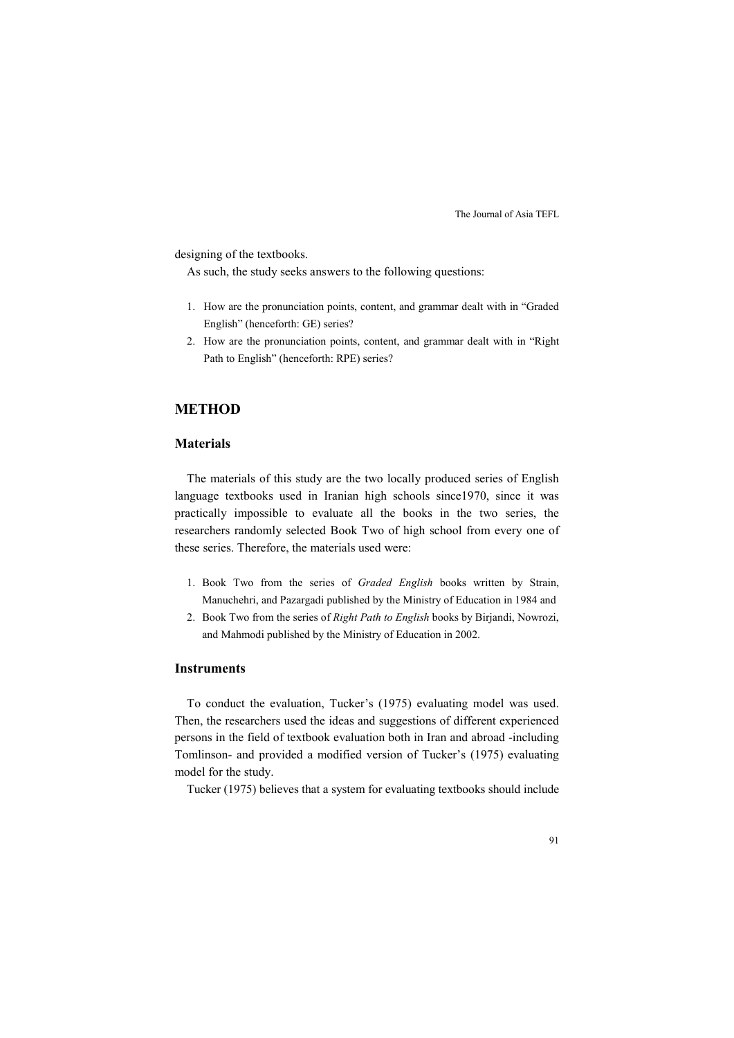designing of the textbooks.

As such, the study seeks answers to the following questions:

- 1. How are the pronunciation points, content, and grammar dealt with in "Graded English" (henceforth: GE) series?
- 2. How are the pronunciation points, content, and grammar dealt with in "Right Path to English" (henceforth: RPE) series?

# **METHOD**

# **Materials**

The materials of this study are the two locally produced series of English language textbooks used in Iranian high schools since1970, since it was practically impossible to evaluate all the books in the two series, the researchers randomly selected Book Two of high school from every one of these series. Therefore, the materials used were:

- 1. Book Two from the series of *Graded English* books written by Strain, Manuchehri, and Pazargadi published by the Ministry of Education in 1984 and
- 2. Book Two from the series of *Right Path to English* books by Birjandi, Nowrozi, and Mahmodi published by the Ministry of Education in 2002.

# **Instruments**

To conduct the evaluation, Tucker's (1975) evaluating model was used. Then, the researchers used the ideas and suggestions of different experienced persons in the field of textbook evaluation both in Iran and abroad -including Tomlinson- and provided a modified version of Tucker's (1975) evaluating model for the study.

Tucker (1975) believes that a system for evaluating textbooks should include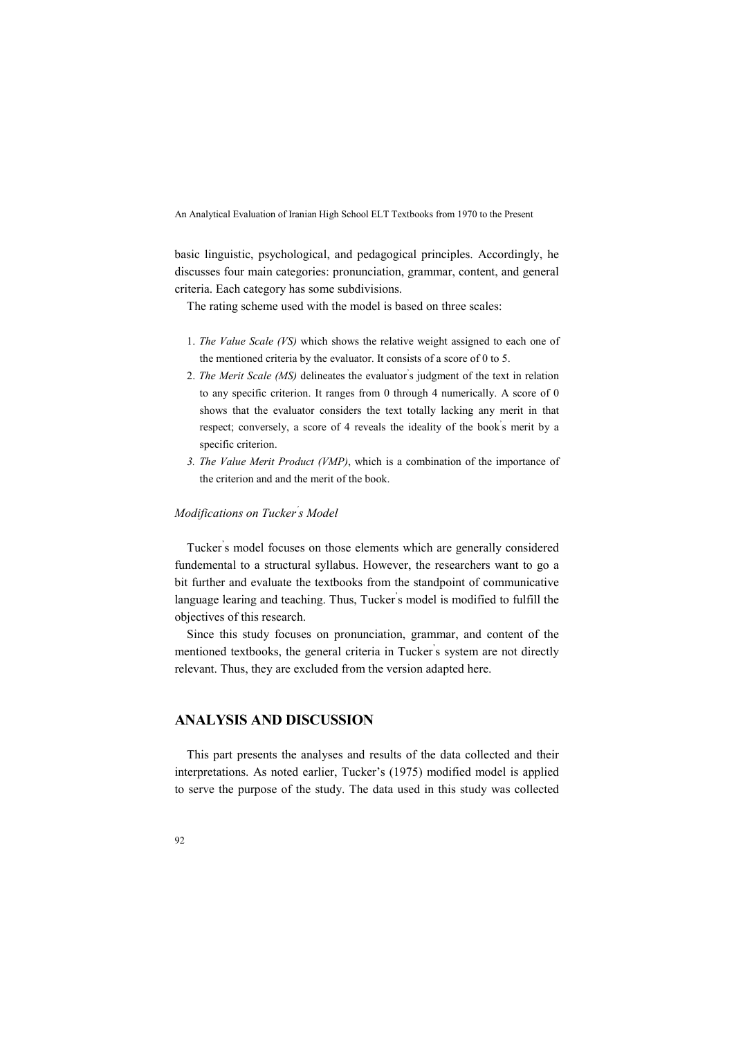basic linguistic, psychological, and pedagogical principles. Accordingly, he discusses four main categories: pronunciation, grammar, content, and general criteria. Each category has some subdivisions.

The rating scheme used with the model is based on three scales:

- 1. *The Value Scale (VS)* which shows the relative weight assigned to each one of the mentioned criteria by the evaluator. It consists of a score of 0 to 5.
- 2. *The Merit Scale (MS)* delineates the evaluator' s judgment of the text in relation to any specific criterion. It ranges from 0 through 4 numerically. A score of 0 shows that the evaluator considers the text totally lacking any merit in that respect; conversely, a score of 4 reveals the ideality of the book' s merit by a specific criterion.
- *3. The Value Merit Product (VMP)*, which is a combination of the importance of the criterion and and the merit of the book.

# *Modifications on Tucker' s Model*

Tucker' s model focuses on those elements which are generally considered fundemental to a structural syllabus. However, the researchers want to go a bit further and evaluate the textbooks from the standpoint of communicative language learing and teaching. Thus, Tucker' s model is modified to fulfill the objectives of this research.

Since this study focuses on pronunciation, grammar, and content of the mentioned textbooks, the general criteria in Tucker' s system are not directly relevant. Thus, they are excluded from the version adapted here.

# **ANALYSIS AND DISCUSSION**

This part presents the analyses and results of the data collected and their interpretations. As noted earlier, Tucker's (1975) modified model is applied to serve the purpose of the study. The data used in this study was collected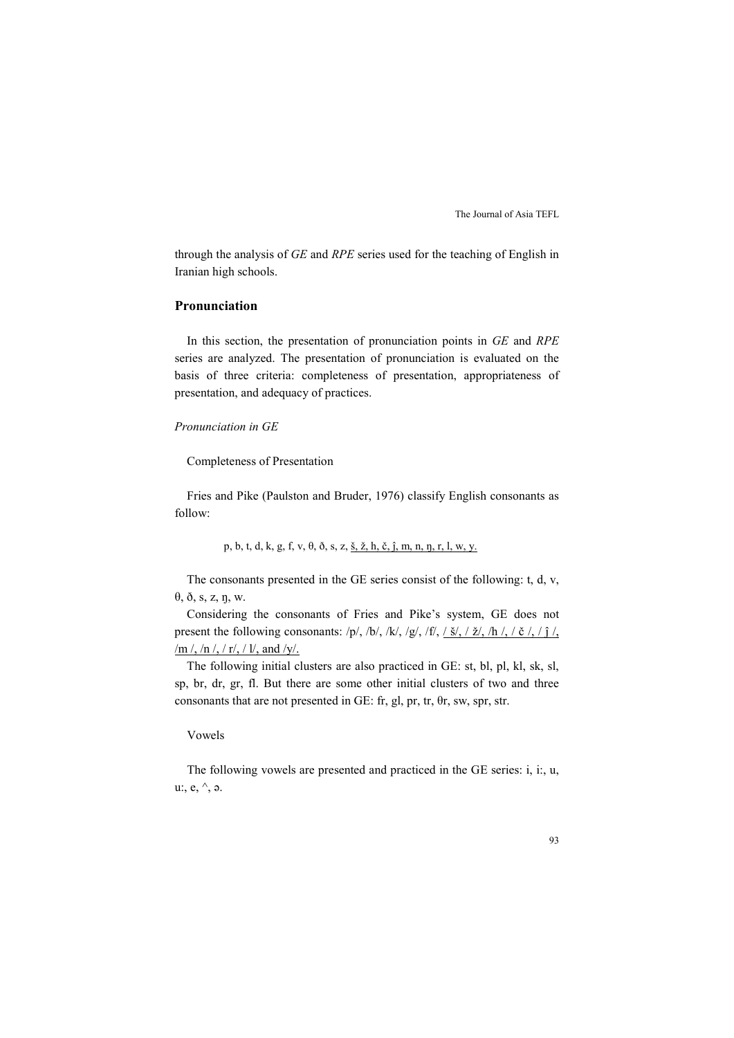through the analysis of *GE* and *RPE* series used for the teaching of English in Iranian high schools.

# **Pronunciation**

In this section, the presentation of pronunciation points in *GE* and *RPE*  series are analyzed. The presentation of pronunciation is evaluated on the basis of three criteria: completeness of presentation, appropriateness of presentation, and adequacy of practices.

## *Pronunciation in GE*

Completeness of Presentation

Fries and Pike (Paulston and Bruder, 1976) classify English consonants as follow:

p, b, t, d, k, g, f, v, θ, ð, s, z, š, ž, h, č, ĵ, m, n, ŋ, r, l, w, y.

The consonants presented in the GE series consist of the following: t, d, v, θ, ð, s, z, ŋ, w.

Considering the consonants of Fries and Pike's system, GE does not present the following consonants:  $/p/$ ,  $/b/$ ,  $/k/$ ,  $/q/$ ,  $/f/$ ,  $(\frac{\xi}{\zeta})$ ,  $(\frac{\xi}{\zeta})$ ,  $(\frac{\xi}{\zeta})$ ,  $(\frac{\xi}{\zeta})$ ,  $(\frac{\xi}{\zeta})$ /m /, /n /, / r/, / l/, and /y/.

The following initial clusters are also practiced in GE: st, bl, pl, kl, sk, sl, sp, br, dr, gr, fl. But there are some other initial clusters of two and three consonants that are not presented in GE: fr, gl, pr, tr, θr, sw, spr, str.

## Vowels

The following vowels are presented and practiced in the GE series: i, i:, u, u:, e, ^, ə.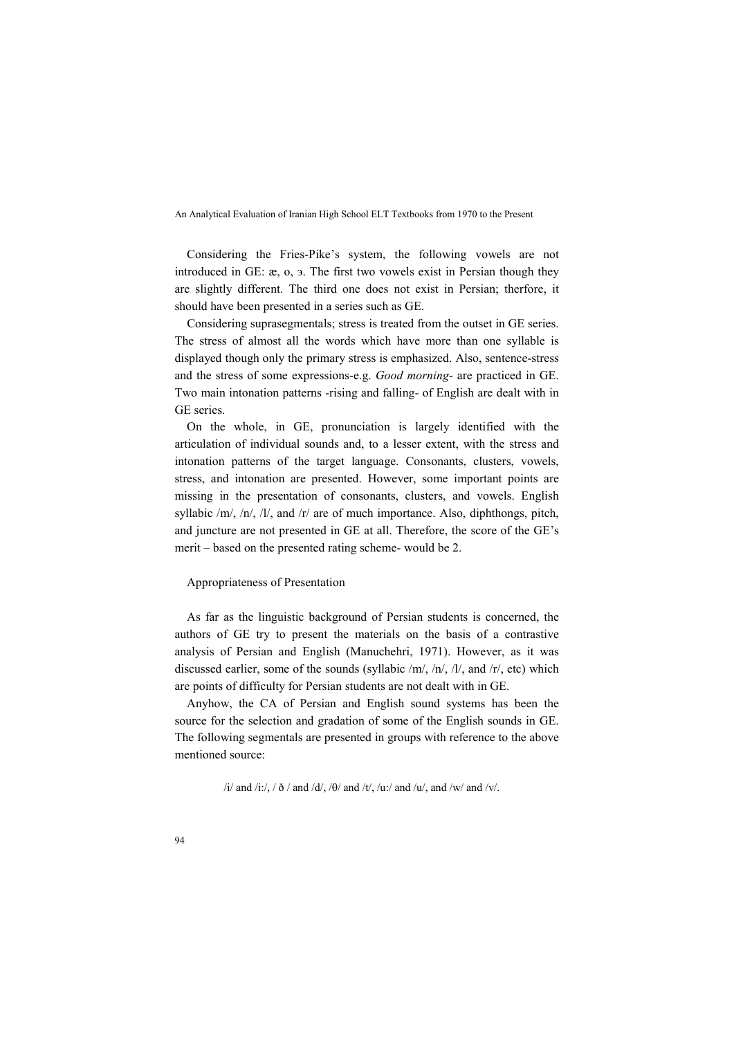Considering the Fries-Pike's system, the following vowels are not introduced in GE: æ, o, э. The first two vowels exist in Persian though they are slightly different. The third one does not exist in Persian; therfore, it should have been presented in a series such as GE.

Considering suprasegmentals; stress is treated from the outset in GE series. The stress of almost all the words which have more than one syllable is displayed though only the primary stress is emphasized. Also, sentence-stress and the stress of some expressions-e.g. *Good morning*- are practiced in GE. Two main intonation patterns -rising and falling- of English are dealt with in GE series.

On the whole, in GE, pronunciation is largely identified with the articulation of individual sounds and, to a lesser extent, with the stress and intonation patterns of the target language. Consonants, clusters, vowels, stress, and intonation are presented. However, some important points are missing in the presentation of consonants, clusters, and vowels. English syllabic /m/, /n/, /l/, and /r/ are of much importance. Also, diphthongs, pitch, and juncture are not presented in GE at all. Therefore, the score of the GE's merit – based on the presented rating scheme- would be 2.

#### Appropriateness of Presentation

As far as the linguistic background of Persian students is concerned, the authors of GE try to present the materials on the basis of a contrastive analysis of Persian and English (Manuchehri, 1971). However, as it was discussed earlier, some of the sounds (syllabic /m/, /n/, /l/, and /r/, etc) which are points of difficulty for Persian students are not dealt with in GE.

Anyhow, the CA of Persian and English sound systems has been the source for the selection and gradation of some of the English sounds in GE. The following segmentals are presented in groups with reference to the above mentioned source:

/i/ and /i:/, /  $\delta$  / and /d/, / $\theta$ / and /t/, /u:/ and /u/, and /w/ and /v/.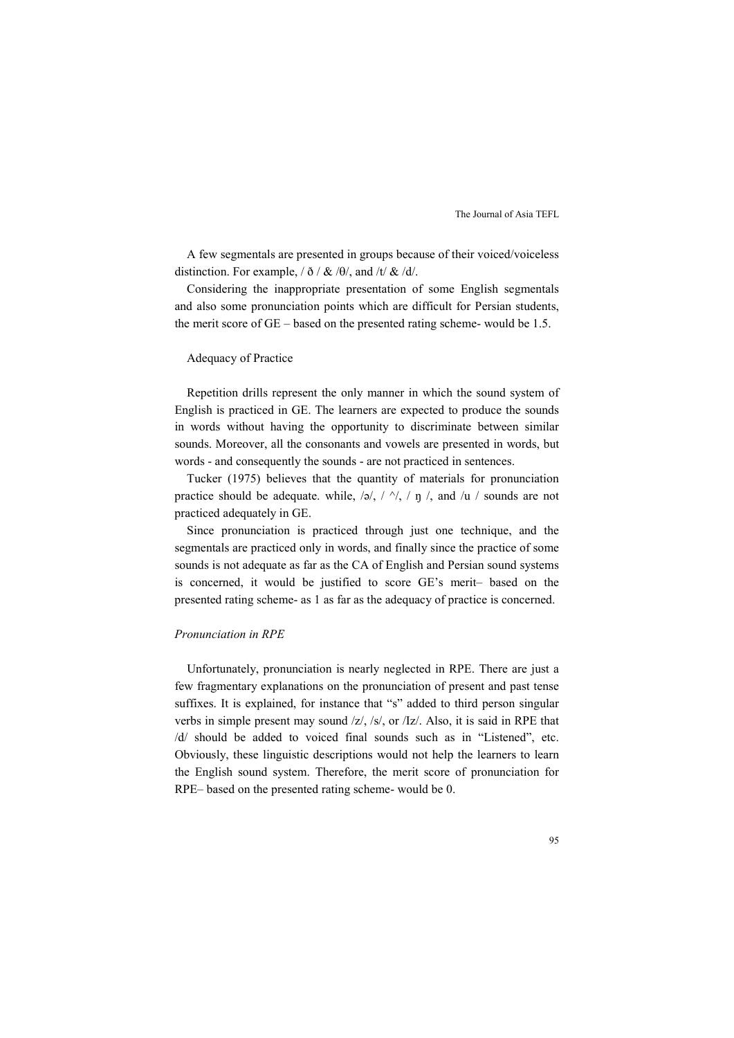A few segmentals are presented in groups because of their voiced/voiceless distinction. For example,  $/ \delta / \&led$  / $\theta$ , and /t/  $\&$  /d/.

Considering the inappropriate presentation of some English segmentals and also some pronunciation points which are difficult for Persian students, the merit score of GE – based on the presented rating scheme- would be 1.5.

#### Adequacy of Practice

Repetition drills represent the only manner in which the sound system of English is practiced in GE. The learners are expected to produce the sounds in words without having the opportunity to discriminate between similar sounds. Moreover, all the consonants and vowels are presented in words, but words - and consequently the sounds - are not practiced in sentences.

Tucker (1975) believes that the quantity of materials for pronunciation practice should be adequate. while,  $/\varphi$ ,  $/\gamma$ ,  $/\eta$ ,  $\eta$ , and  $/\mu$  / sounds are not practiced adequately in GE.

Since pronunciation is practiced through just one technique, and the segmentals are practiced only in words, and finally since the practice of some sounds is not adequate as far as the CA of English and Persian sound systems is concerned, it would be justified to score GE's merit– based on the presented rating scheme- as 1 as far as the adequacy of practice is concerned.

#### *Pronunciation in RPE*

Unfortunately, pronunciation is nearly neglected in RPE. There are just a few fragmentary explanations on the pronunciation of present and past tense suffixes. It is explained, for instance that "s" added to third person singular verbs in simple present may sound /z/, /s/, or /Iz/. Also, it is said in RPE that /d/ should be added to voiced final sounds such as in "Listened", etc. Obviously, these linguistic descriptions would not help the learners to learn the English sound system. Therefore, the merit score of pronunciation for RPE– based on the presented rating scheme- would be 0.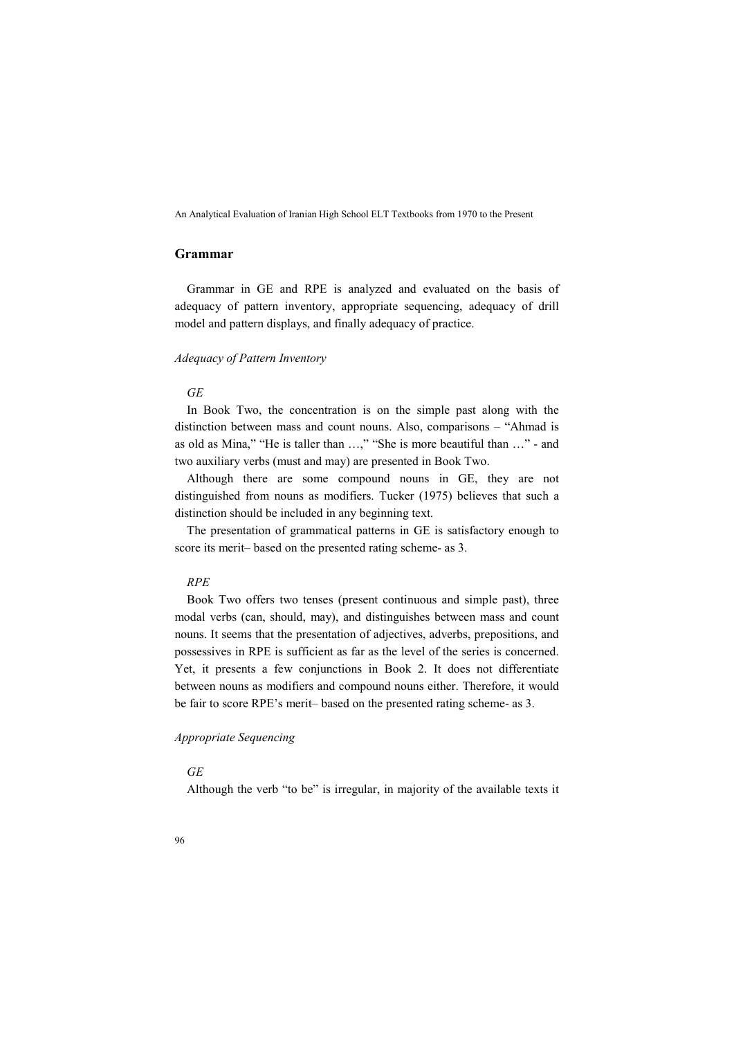# **Grammar**

Grammar in GE and RPE is analyzed and evaluated on the basis of adequacy of pattern inventory, appropriate sequencing, adequacy of drill model and pattern displays, and finally adequacy of practice.

#### *Adequacy of Pattern Inventory*

# *GE*

In Book Two, the concentration is on the simple past along with the distinction between mass and count nouns. Also, comparisons – "Ahmad is as old as Mina," "He is taller than …," "She is more beautiful than …" - and two auxiliary verbs (must and may) are presented in Book Two.

Although there are some compound nouns in GE, they are not distinguished from nouns as modifiers. Tucker (1975) believes that such a distinction should be included in any beginning text.

The presentation of grammatical patterns in GE is satisfactory enough to score its merit– based on the presented rating scheme- as 3.

#### *RPE*

Book Two offers two tenses (present continuous and simple past), three modal verbs (can, should, may), and distinguishes between mass and count nouns. It seems that the presentation of adjectives, adverbs, prepositions, and possessives in RPE is sufficient as far as the level of the series is concerned. Yet, it presents a few conjunctions in Book 2. It does not differentiate between nouns as modifiers and compound nouns either. Therefore, it would be fair to score RPE's merit– based on the presented rating scheme- as 3.

# *Appropriate Sequencing*

#### *GE*

Although the verb "to be" is irregular, in majority of the available texts it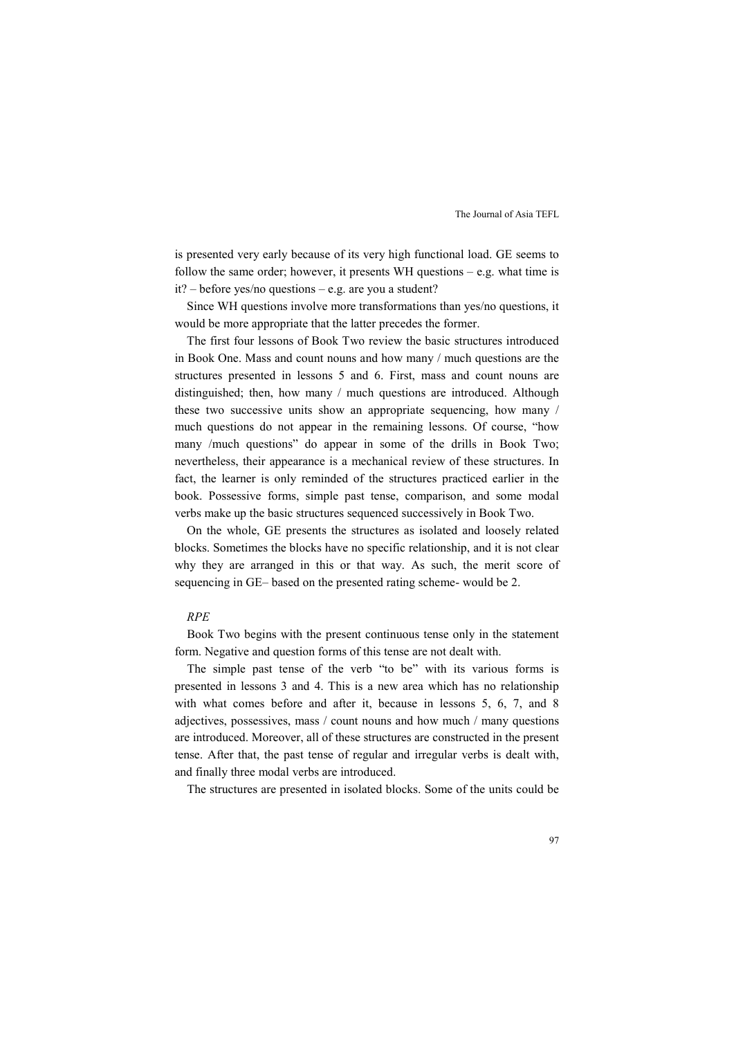is presented very early because of its very high functional load. GE seems to follow the same order; however, it presents WH questions – e.g. what time is it? – before yes/no questions – e.g. are you a student?

Since WH questions involve more transformations than yes/no questions, it would be more appropriate that the latter precedes the former.

The first four lessons of Book Two review the basic structures introduced in Book One. Mass and count nouns and how many / much questions are the structures presented in lessons 5 and 6. First, mass and count nouns are distinguished; then, how many / much questions are introduced. Although these two successive units show an appropriate sequencing, how many / much questions do not appear in the remaining lessons. Of course, "how many /much questions" do appear in some of the drills in Book Two; nevertheless, their appearance is a mechanical review of these structures. In fact, the learner is only reminded of the structures practiced earlier in the book. Possessive forms, simple past tense, comparison, and some modal verbs make up the basic structures sequenced successively in Book Two.

On the whole, GE presents the structures as isolated and loosely related blocks. Sometimes the blocks have no specific relationship, and it is not clear why they are arranged in this or that way. As such, the merit score of sequencing in GE– based on the presented rating scheme- would be 2.

#### *RPE*

Book Two begins with the present continuous tense only in the statement form. Negative and question forms of this tense are not dealt with.

The simple past tense of the verb "to be" with its various forms is presented in lessons 3 and 4. This is a new area which has no relationship with what comes before and after it, because in lessons 5, 6, 7, and 8 adjectives, possessives, mass / count nouns and how much / many questions are introduced. Moreover, all of these structures are constructed in the present tense. After that, the past tense of regular and irregular verbs is dealt with, and finally three modal verbs are introduced.

The structures are presented in isolated blocks. Some of the units could be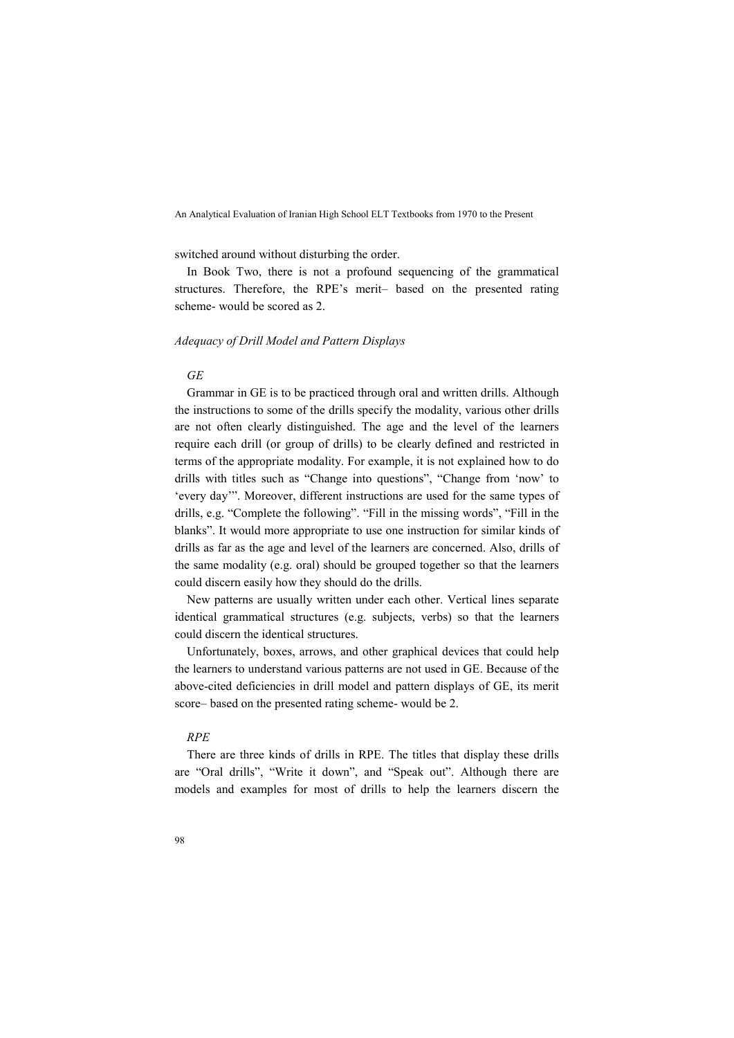switched around without disturbing the order.

In Book Two, there is not a profound sequencing of the grammatical structures. Therefore, the RPE's merit– based on the presented rating scheme- would be scored as 2.

#### *Adequacy of Drill Model and Pattern Displays*

#### *GE*

Grammar in GE is to be practiced through oral and written drills. Although the instructions to some of the drills specify the modality, various other drills are not often clearly distinguished. The age and the level of the learners require each drill (or group of drills) to be clearly defined and restricted in terms of the appropriate modality. For example, it is not explained how to do drills with titles such as "Change into questions", "Change from 'now' to 'every day'". Moreover, different instructions are used for the same types of drills, e.g. "Complete the following". "Fill in the missing words", "Fill in the blanks". It would more appropriate to use one instruction for similar kinds of drills as far as the age and level of the learners are concerned. Also, drills of the same modality (e.g. oral) should be grouped together so that the learners could discern easily how they should do the drills.

New patterns are usually written under each other. Vertical lines separate identical grammatical structures (e.g. subjects, verbs) so that the learners could discern the identical structures.

Unfortunately, boxes, arrows, and other graphical devices that could help the learners to understand various patterns are not used in GE. Because of the above-cited deficiencies in drill model and pattern displays of GE, its merit score– based on the presented rating scheme- would be 2.

# *RPE*

There are three kinds of drills in RPE. The titles that display these drills are "Oral drills", "Write it down", and "Speak out". Although there are models and examples for most of drills to help the learners discern the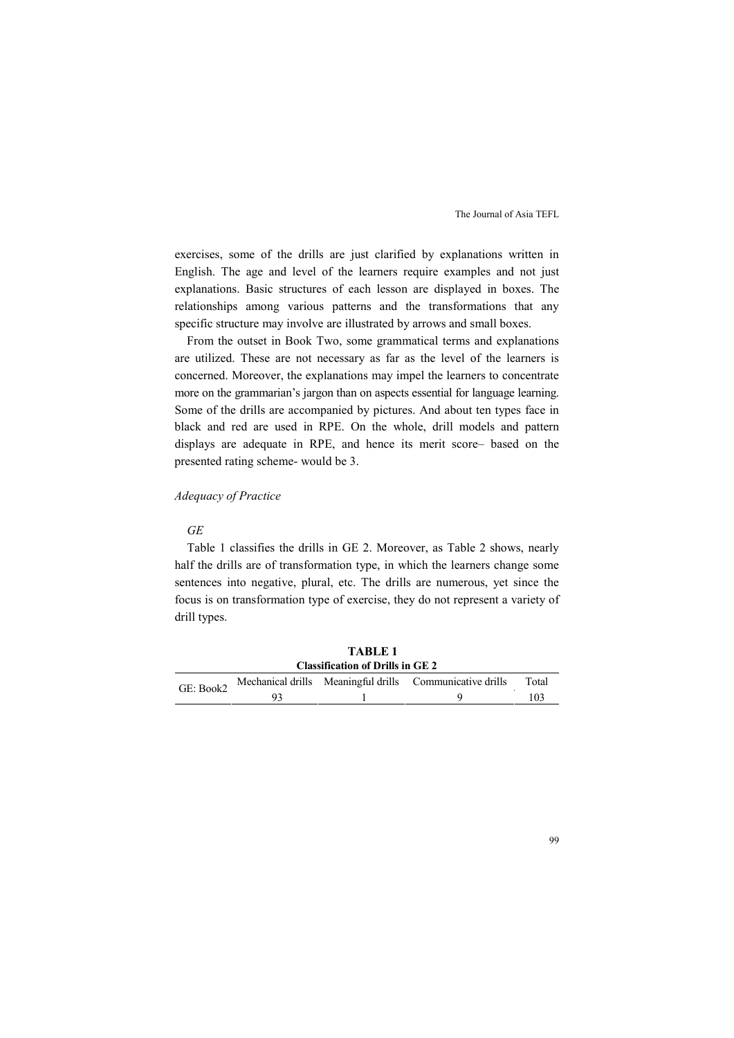exercises, some of the drills are just clarified by explanations written in English. The age and level of the learners require examples and not just explanations. Basic structures of each lesson are displayed in boxes. The relationships among various patterns and the transformations that any specific structure may involve are illustrated by arrows and small boxes.

From the outset in Book Two, some grammatical terms and explanations are utilized. These are not necessary as far as the level of the learners is concerned. Moreover, the explanations may impel the learners to concentrate more on the grammarian's jargon than on aspects essential for language learning. Some of the drills are accompanied by pictures. And about ten types face in black and red are used in RPE. On the whole, drill models and pattern displays are adequate in RPE, and hence its merit score– based on the presented rating scheme- would be 3.

# *Adequacy of Practice*

#### *GE*

Table 1 classifies the drills in GE 2. Moreover, as Table 2 shows, nearly half the drills are of transformation type, in which the learners change some sentences into negative, plural, etc. The drills are numerous, yet since the focus is on transformation type of exercise, they do not represent a variety of drill types.

|                                         | TABLE 1 |  |                                                                    |  |  |  |
|-----------------------------------------|---------|--|--------------------------------------------------------------------|--|--|--|
| <b>Classification of Drills in GE 2</b> |         |  |                                                                    |  |  |  |
|                                         |         |  | Total                                                              |  |  |  |
|                                         |         |  | 103                                                                |  |  |  |
|                                         |         |  | GE: Book2 Mechanical drills Meaningful drills Communicative drills |  |  |  |

**TABLE 1**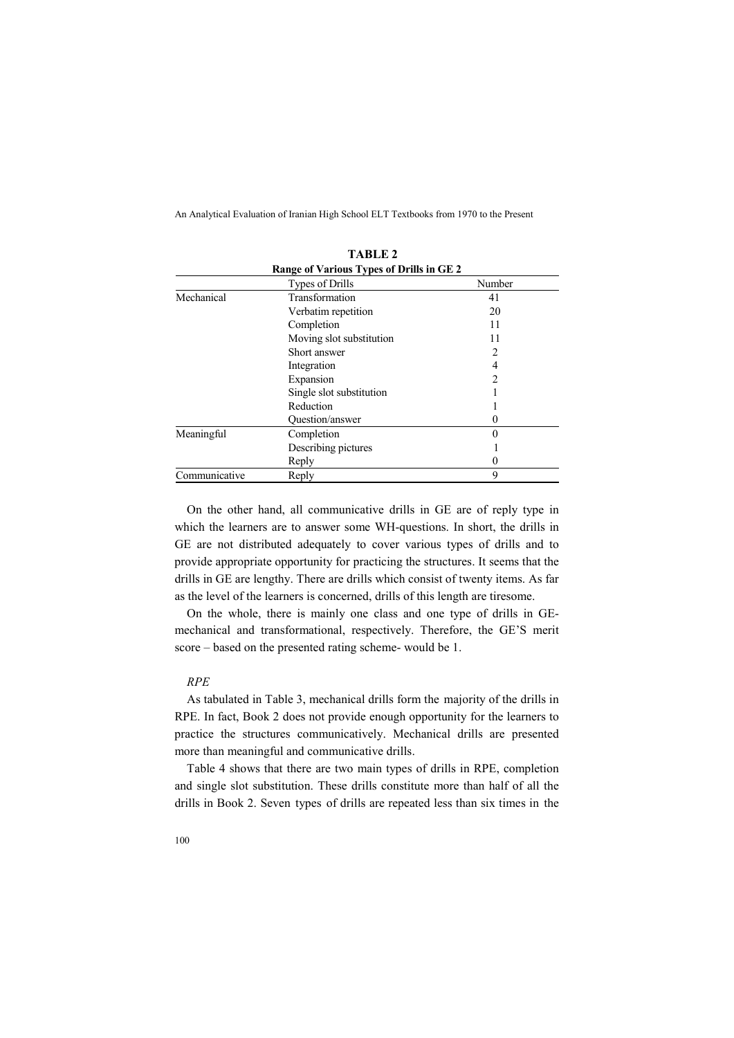| ГАОНД 4                                  |                          |                |  |  |  |
|------------------------------------------|--------------------------|----------------|--|--|--|
| Range of Various Types of Drills in GE 2 |                          |                |  |  |  |
|                                          | Types of Drills          | Number         |  |  |  |
| Mechanical                               | Transformation           | 41             |  |  |  |
|                                          | Verbatim repetition      | 20             |  |  |  |
|                                          | Completion               | 11             |  |  |  |
|                                          | Moving slot substitution | 11             |  |  |  |
|                                          | Short answer             |                |  |  |  |
|                                          | Integration              | 4              |  |  |  |
|                                          | Expansion                | $\mathfrak{D}$ |  |  |  |
|                                          | Single slot substitution |                |  |  |  |
|                                          | Reduction                |                |  |  |  |
|                                          | Question/answer          | $\theta$       |  |  |  |
| Meaningful                               | Completion               | $\theta$       |  |  |  |
|                                          | Describing pictures      |                |  |  |  |
|                                          | Reply                    | 0              |  |  |  |
| Communicative                            | Reply                    | 9              |  |  |  |

**TABLE 2**

On the other hand, all communicative drills in GE are of reply type in which the learners are to answer some WH-questions. In short, the drills in GE are not distributed adequately to cover various types of drills and to provide appropriate opportunity for practicing the structures. It seems that the drills in GE are lengthy. There are drills which consist of twenty items. As far as the level of the learners is concerned, drills of this length are tiresome.

On the whole, there is mainly one class and one type of drills in GEmechanical and transformational, respectively. Therefore, the GE'S merit score – based on the presented rating scheme- would be 1.

## *RPE*

As tabulated in Table 3, mechanical drills form the majority of the drills in RPE. In fact, Book 2 does not provide enough opportunity for the learners to practice the structures communicatively. Mechanical drills are presented more than meaningful and communicative drills.

Table 4 shows that there are two main types of drills in RPE, completion and single slot substitution. These drills constitute more than half of all the drills in Book 2. Seven types of drills are repeated less than six times in the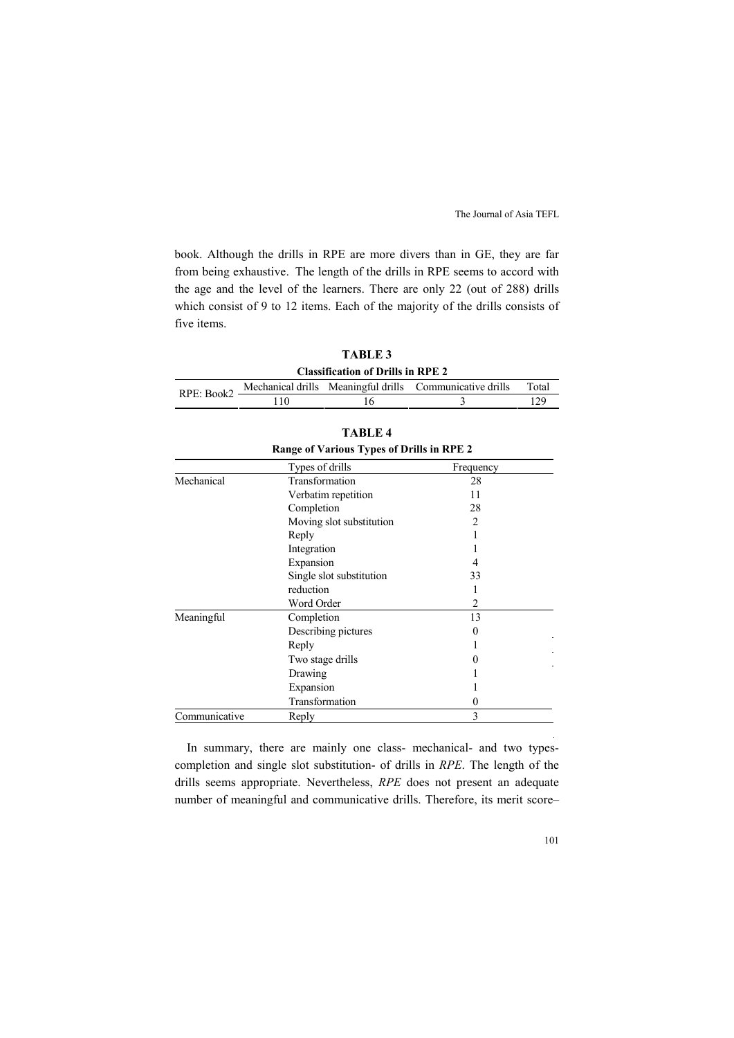book. Although the drills in RPE are more divers than in GE, they are far from being exhaustive. The length of the drills in RPE seems to accord with the age and the level of the learners. There are only 22 (out of 288) drills which consist of 9 to 12 items. Each of the majority of the drills consists of five items.

> **TABLE 3 Classification of Drills in RPE 2**

RPE: Book2

| <b>TABLE 4</b>                            |                          |                |  |  |  |
|-------------------------------------------|--------------------------|----------------|--|--|--|
| Range of Various Types of Drills in RPE 2 |                          |                |  |  |  |
|                                           | Types of drills          | Frequency      |  |  |  |
| Mechanical                                | Transformation           | 28             |  |  |  |
|                                           | Verbatim repetition      | 11             |  |  |  |
|                                           | Completion               | 28             |  |  |  |
|                                           | Moving slot substitution | $\mathfrak{D}$ |  |  |  |
|                                           | Reply                    |                |  |  |  |
|                                           | Integration              |                |  |  |  |
|                                           | Expansion                |                |  |  |  |
|                                           | Single slot substitution | 33             |  |  |  |
|                                           | reduction                |                |  |  |  |
|                                           | Word Order               | 2              |  |  |  |
| Meaningful                                | Completion               | 13             |  |  |  |
|                                           | Describing pictures      | 0              |  |  |  |
|                                           | Reply                    |                |  |  |  |
|                                           | Two stage drills         | 0              |  |  |  |
|                                           | Drawing                  |                |  |  |  |
|                                           | Expansion                |                |  |  |  |
|                                           | Transformation           | 0              |  |  |  |
| Communicative                             | Reply                    | 3              |  |  |  |

Mechanical drills Meaningful drills Communicative drills Total 110 16 3 129

In summary, there are mainly one class- mechanical- and two typescompletion and single slot substitution- of drills in *RPE*. The length of the drills seems appropriate. Nevertheless, *RPE* does not present an adequate number of meaningful and communicative drills. Therefore, its merit score–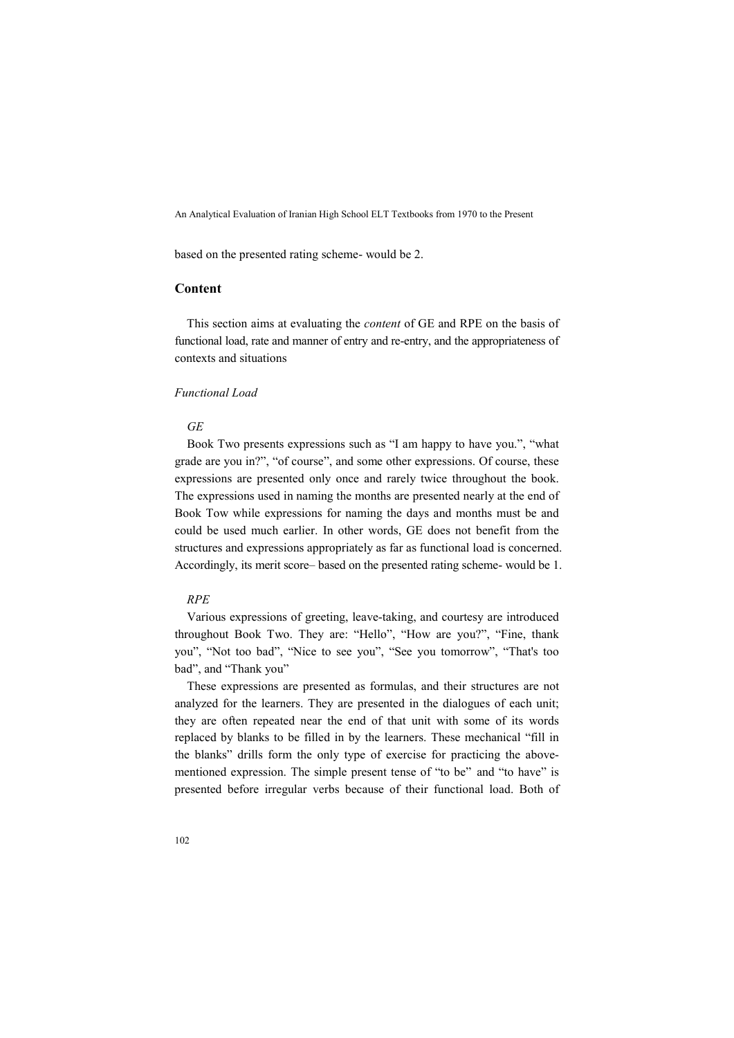based on the presented rating scheme- would be 2.

# **Content**

This section aims at evaluating the *content* of GE and RPE on the basis of functional load, rate and manner of entry and re-entry, and the appropriateness of contexts and situations

# *Functional Load*

## *GE*

Book Two presents expressions such as "I am happy to have you.", "what grade are you in?", "of course", and some other expressions. Of course, these expressions are presented only once and rarely twice throughout the book. The expressions used in naming the months are presented nearly at the end of Book Tow while expressions for naming the days and months must be and could be used much earlier. In other words, GE does not benefit from the structures and expressions appropriately as far as functional load is concerned. Accordingly, its merit score– based on the presented rating scheme- would be 1.

## *RPE*

Various expressions of greeting, leave-taking, and courtesy are introduced throughout Book Two. They are: "Hello", "How are you?", "Fine, thank you", "Not too bad", "Nice to see you", "See you tomorrow", "That's too bad", and "Thank you"

These expressions are presented as formulas, and their structures are not analyzed for the learners. They are presented in the dialogues of each unit; they are often repeated near the end of that unit with some of its words replaced by blanks to be filled in by the learners. These mechanical "fill in the blanks" drills form the only type of exercise for practicing the abovementioned expression. The simple present tense of "to be" and "to have" is presented before irregular verbs because of their functional load. Both of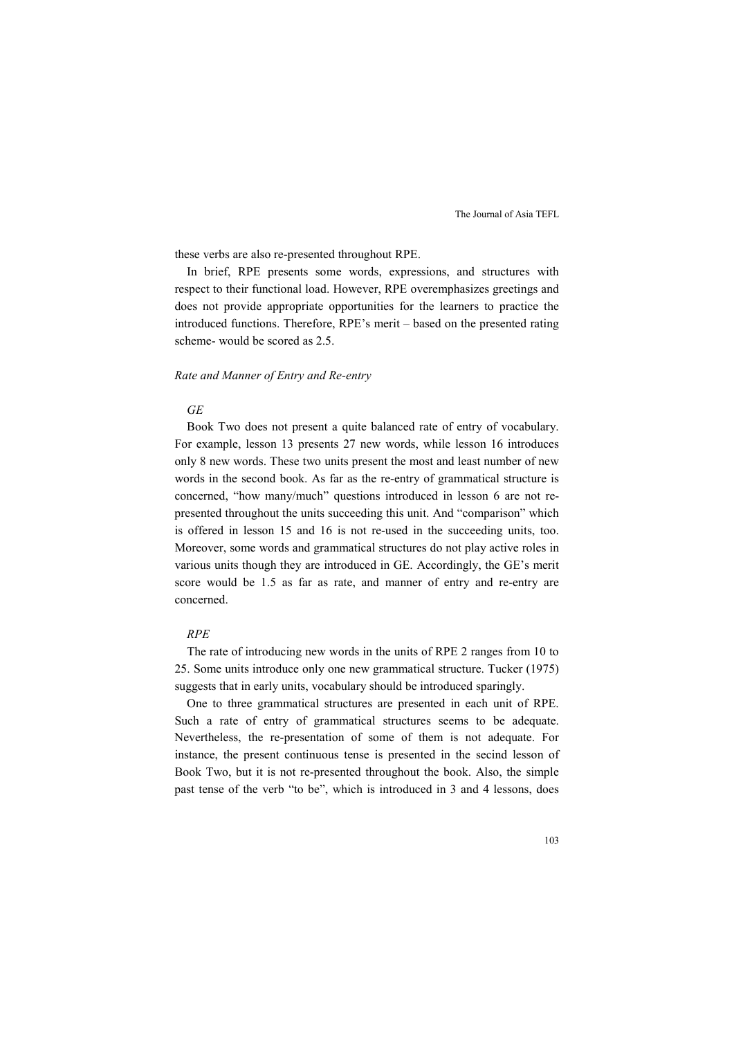these verbs are also re-presented throughout RPE.

In brief, RPE presents some words, expressions, and structures with respect to their functional load. However, RPE overemphasizes greetings and does not provide appropriate opportunities for the learners to practice the introduced functions. Therefore, RPE's merit – based on the presented rating scheme- would be scored as 2.5.

#### *Rate and Manner of Entry and Re-entry*

#### *GE*

Book Two does not present a quite balanced rate of entry of vocabulary. For example, lesson 13 presents 27 new words, while lesson 16 introduces only 8 new words. These two units present the most and least number of new words in the second book. As far as the re-entry of grammatical structure is concerned, "how many/much" questions introduced in lesson 6 are not represented throughout the units succeeding this unit. And "comparison" which is offered in lesson 15 and 16 is not re-used in the succeeding units, too. Moreover, some words and grammatical structures do not play active roles in various units though they are introduced in GE. Accordingly, the GE's merit score would be 1.5 as far as rate, and manner of entry and re-entry are concerned.

# *RPE*

The rate of introducing new words in the units of RPE 2 ranges from 10 to 25. Some units introduce only one new grammatical structure. Tucker (1975) suggests that in early units, vocabulary should be introduced sparingly.

One to three grammatical structures are presented in each unit of RPE. Such a rate of entry of grammatical structures seems to be adequate. Nevertheless, the re-presentation of some of them is not adequate. For instance, the present continuous tense is presented in the secind lesson of Book Two, but it is not re-presented throughout the book. Also, the simple past tense of the verb "to be", which is introduced in 3 and 4 lessons, does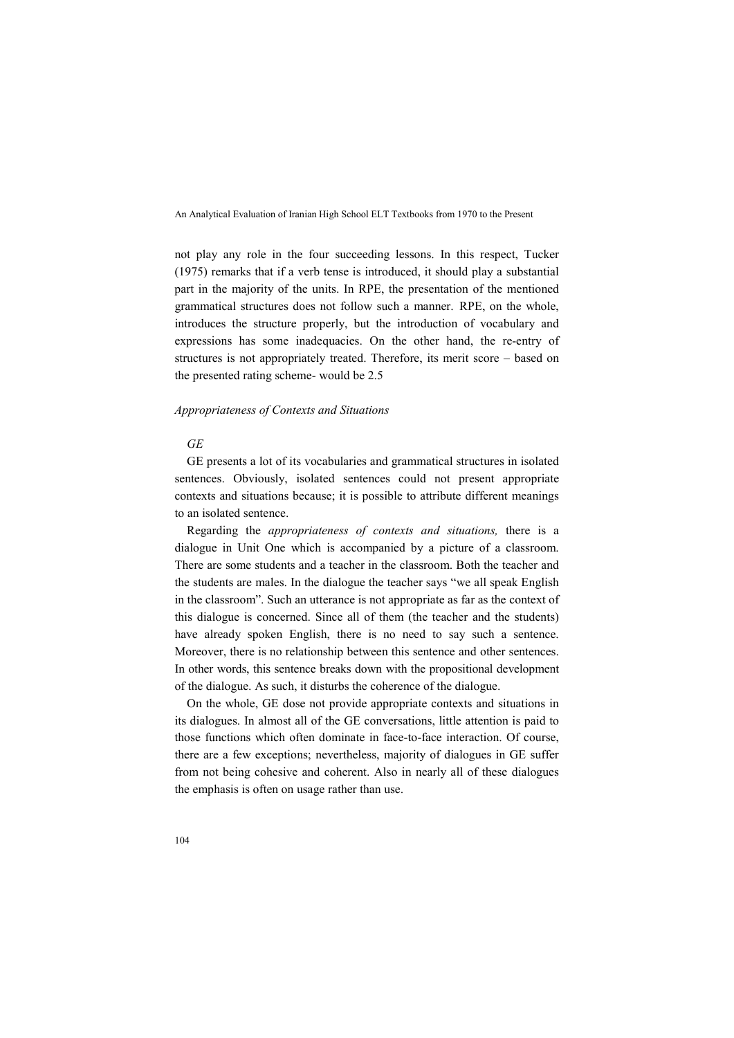not play any role in the four succeeding lessons. In this respect, Tucker (1975) remarks that if a verb tense is introduced, it should play a substantial part in the majority of the units. In RPE, the presentation of the mentioned grammatical structures does not follow such a manner. RPE, on the whole, introduces the structure properly, but the introduction of vocabulary and expressions has some inadequacies. On the other hand, the re-entry of structures is not appropriately treated. Therefore, its merit score – based on the presented rating scheme- would be 2.5

#### *Appropriateness of Contexts and Situations*

#### *GE*

GE presents a lot of its vocabularies and grammatical structures in isolated sentences. Obviously, isolated sentences could not present appropriate contexts and situations because; it is possible to attribute different meanings to an isolated sentence.

Regarding the *appropriateness of contexts and situations,* there is a dialogue in Unit One which is accompanied by a picture of a classroom. There are some students and a teacher in the classroom. Both the teacher and the students are males. In the dialogue the teacher says "we all speak English in the classroom". Such an utterance is not appropriate as far as the context of this dialogue is concerned. Since all of them (the teacher and the students) have already spoken English, there is no need to say such a sentence. Moreover, there is no relationship between this sentence and other sentences. In other words, this sentence breaks down with the propositional development of the dialogue. As such, it disturbs the coherence of the dialogue.

On the whole, GE dose not provide appropriate contexts and situations in its dialogues. In almost all of the GE conversations, little attention is paid to those functions which often dominate in face-to-face interaction. Of course, there are a few exceptions; nevertheless, majority of dialogues in GE suffer from not being cohesive and coherent. Also in nearly all of these dialogues the emphasis is often on usage rather than use.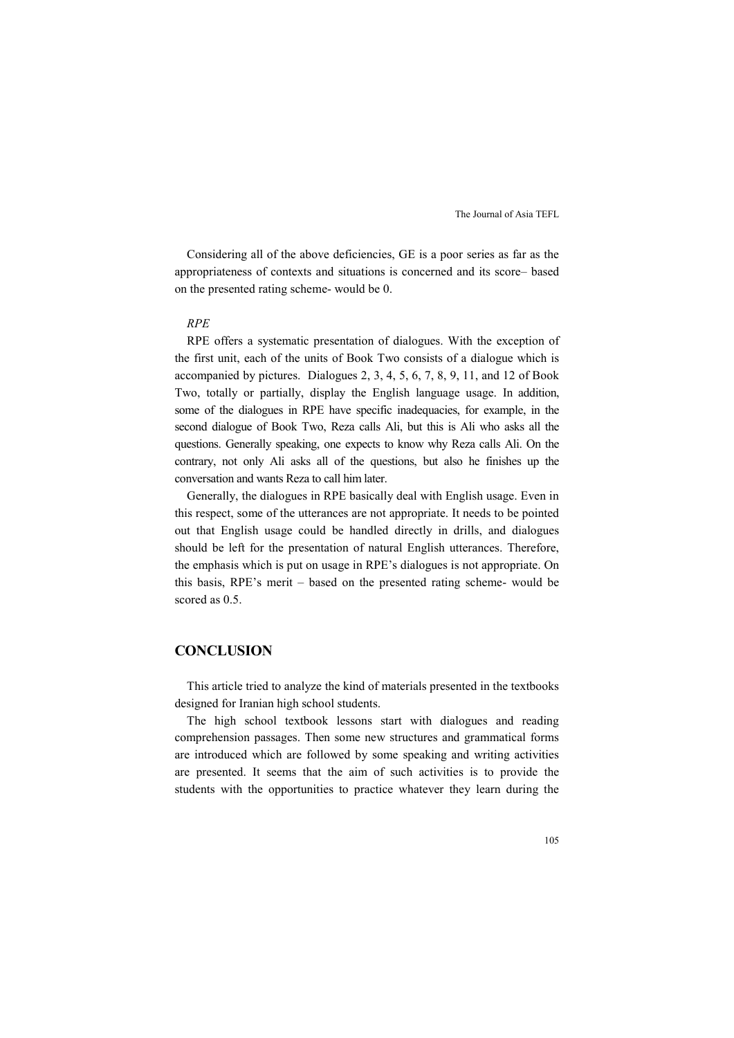Considering all of the above deficiencies, GE is a poor series as far as the appropriateness of contexts and situations is concerned and its score– based on the presented rating scheme- would be 0.

## *RPE*

RPE offers a systematic presentation of dialogues. With the exception of the first unit, each of the units of Book Two consists of a dialogue which is accompanied by pictures. Dialogues 2, 3, 4, 5, 6, 7, 8, 9, 11, and 12 of Book Two, totally or partially, display the English language usage. In addition, some of the dialogues in RPE have specific inadequacies, for example, in the second dialogue of Book Two, Reza calls Ali, but this is Ali who asks all the questions. Generally speaking, one expects to know why Reza calls Ali. On the contrary, not only Ali asks all of the questions, but also he finishes up the conversation and wants Reza to call him later.

Generally, the dialogues in RPE basically deal with English usage. Even in this respect, some of the utterances are not appropriate. It needs to be pointed out that English usage could be handled directly in drills, and dialogues should be left for the presentation of natural English utterances. Therefore, the emphasis which is put on usage in RPE's dialogues is not appropriate. On this basis, RPE's merit – based on the presented rating scheme- would be scored as 0.5.

## **CONCLUSION**

This article tried to analyze the kind of materials presented in the textbooks designed for Iranian high school students.

The high school textbook lessons start with dialogues and reading comprehension passages. Then some new structures and grammatical forms are introduced which are followed by some speaking and writing activities are presented. It seems that the aim of such activities is to provide the students with the opportunities to practice whatever they learn during the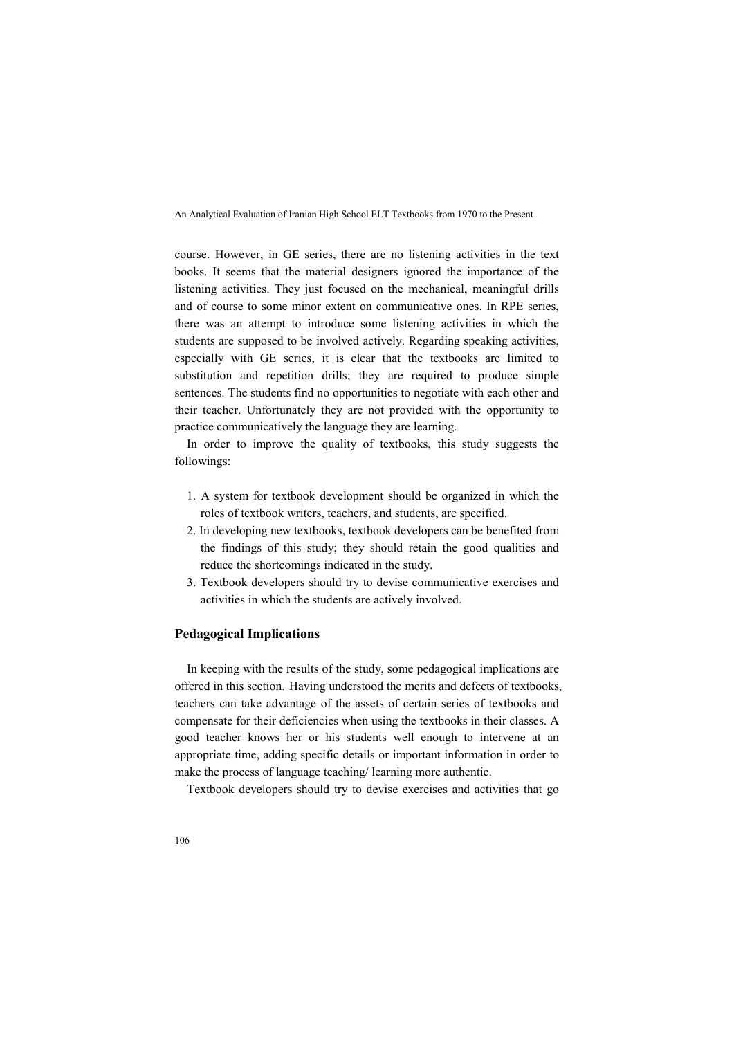course. However, in GE series, there are no listening activities in the text books. It seems that the material designers ignored the importance of the listening activities. They just focused on the mechanical, meaningful drills and of course to some minor extent on communicative ones. In RPE series, there was an attempt to introduce some listening activities in which the students are supposed to be involved actively. Regarding speaking activities, especially with GE series, it is clear that the textbooks are limited to substitution and repetition drills; they are required to produce simple sentences. The students find no opportunities to negotiate with each other and their teacher. Unfortunately they are not provided with the opportunity to practice communicatively the language they are learning.

In order to improve the quality of textbooks, this study suggests the followings:

- 1. A system for textbook development should be organized in which the roles of textbook writers, teachers, and students, are specified.
- 2. In developing new textbooks, textbook developers can be benefited from the findings of this study; they should retain the good qualities and reduce the shortcomings indicated in the study.
- 3. Textbook developers should try to devise communicative exercises and activities in which the students are actively involved.

# **Pedagogical Implications**

In keeping with the results of the study, some pedagogical implications are offered in this section. Having understood the merits and defects of textbooks, teachers can take advantage of the assets of certain series of textbooks and compensate for their deficiencies when using the textbooks in their classes. A good teacher knows her or his students well enough to intervene at an appropriate time, adding specific details or important information in order to make the process of language teaching/ learning more authentic.

Textbook developers should try to devise exercises and activities that go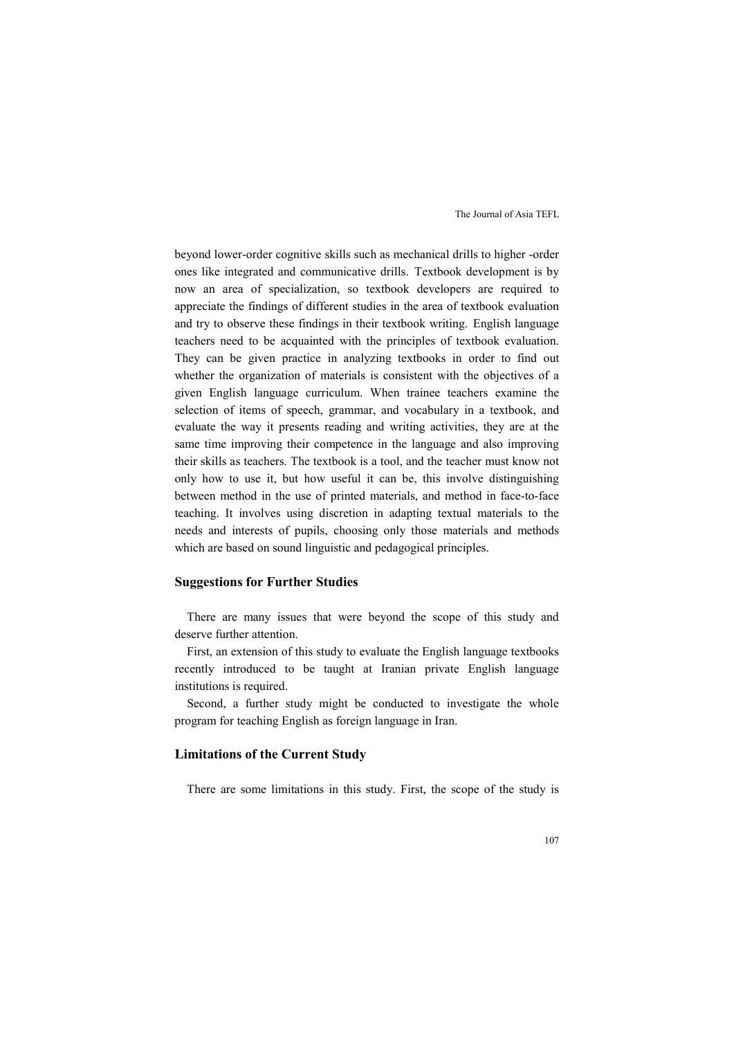beyond lower-order cognitive skills such as mechanical drills to higher -order ones like integrated and communicative drills. Textbook development is by now an area of specialization, so textbook developers are required to appreciate the findings of different studies in the area of textbook evaluation and try to observe these findings in their textbook writing. English language teachers need to be acquainted with the principles of textbook evaluation. They can be given practice in analyzing textbooks in order to find out whether the organization of materials is consistent with the objectives of a given English language curriculum. When trainee teachers examine the selection of items of speech, grammar, and vocabulary in a textbook, and evaluate the way it presents reading and writing activities, they are at the same time improving their competence in the language and also improving their skills as teachers. The textbook is a tool, and the teacher must know not only how to use it, but how useful it can be, this involve distinguishing between method in the use of printed materials, and method in face-to-face teaching. It involves using discretion in adapting textual materials to the needs and interests of pupils, choosing only those materials and methods which are based on sound linguistic and pedagogical principles.

## **Suggestions for Further Studies**

There are many issues that were beyond the scope of this study and deserve further attention.

First, an extension of this study to evaluate the English language textbooks recently introduced to be taught at Iranian private English language institutions is required.

Second, a further study might be conducted to investigate the whole program for teaching English as foreign language in Iran.

# **Limitations of the Current Study**

There are some limitations in this study. First, the scope of the study is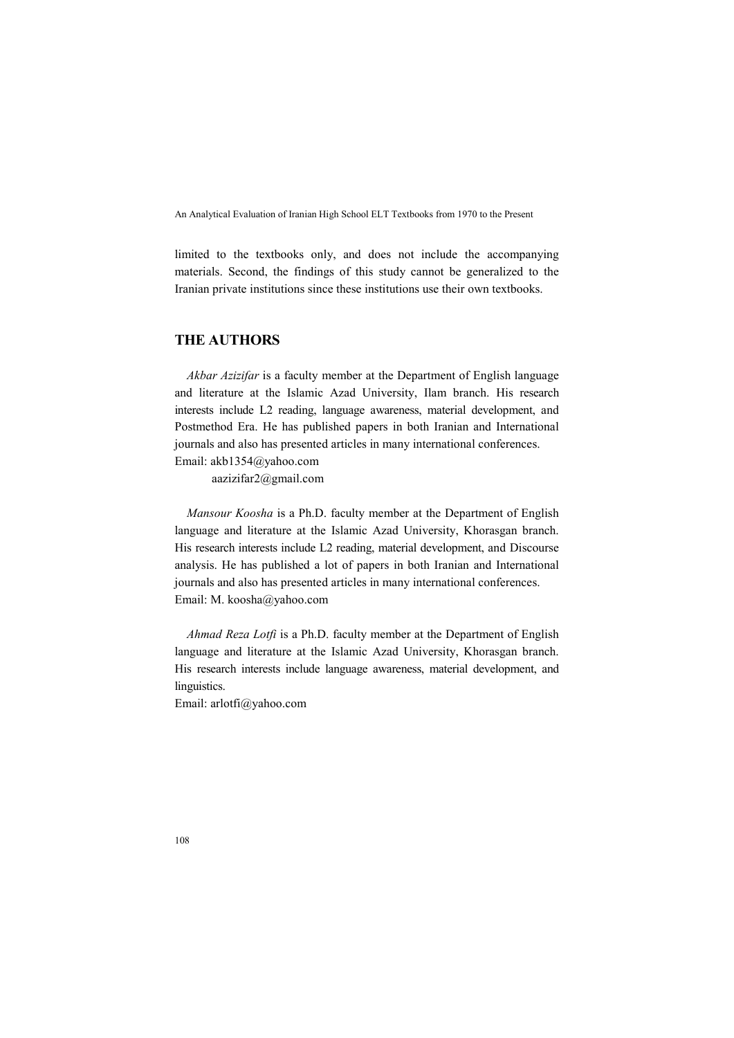limited to the textbooks only, and does not include the accompanying materials. Second, the findings of this study cannot be generalized to the Iranian private institutions since these institutions use their own textbooks.

# **THE AUTHORS**

*Akbar Azizifar* is a faculty member at the Department of English language and literature at the Islamic Azad University, Ilam branch. His research interests include L2 reading, language awareness, material development, and Postmethod Era. He has published papers in both Iranian and International journals and also has presented articles in many international conferences. Email: akb1354@yahoo.com

aazizifar2@gmail.com

*Mansour Koosha* is a Ph.D. faculty member at the Department of English language and literature at the Islamic Azad University, Khorasgan branch. His research interests include L2 reading, material development, and Discourse analysis. He has published a lot of papers in both Iranian and International journals and also has presented articles in many international conferences. Email: M. koosha@yahoo.com

*Ahmad Reza Lotfi* is a Ph.D. faculty member at the Department of English language and literature at the Islamic Azad University, Khorasgan branch. His research interests include language awareness, material development, and linguistics.

Email: arlotfi@yahoo.com